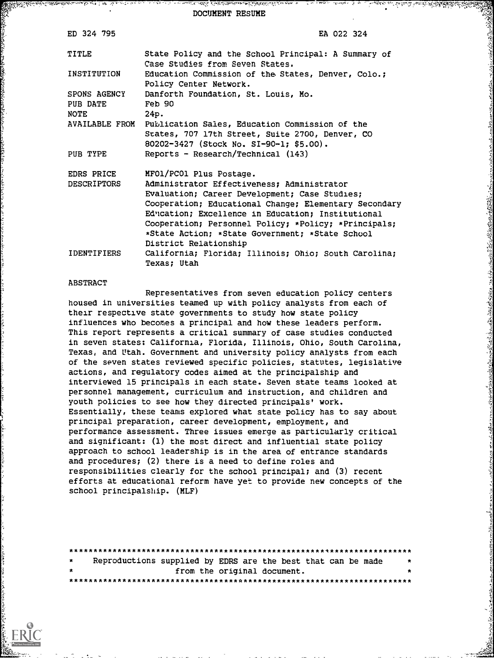DOCUMENT RESUME

| ED 324 795                       | EA 022 324                                                                                                                                                                                                                                                                                                                                                               |
|----------------------------------|--------------------------------------------------------------------------------------------------------------------------------------------------------------------------------------------------------------------------------------------------------------------------------------------------------------------------------------------------------------------------|
| TITLE                            | State Policy and the School Principal: A Summary of<br>Case Studies from Seven States.                                                                                                                                                                                                                                                                                   |
| INSTITUTION                      | Education Commission of the States, Denver, Colo.;<br>Policy Center Network.                                                                                                                                                                                                                                                                                             |
| <b>SPONS AGENCY</b><br>PUB DATE  | Danforth Foundation, St. Louis, Mo.<br>Feb 90                                                                                                                                                                                                                                                                                                                            |
| NOTE<br>AVAILABLE FROM           | 24p.<br>Publication Sales, Education Commission of the<br>States, 707 17th Street, Suite 2700, Denver, CO<br>80202-3427 (Stock No. SI-90-1; \$5.00).                                                                                                                                                                                                                     |
| PUB TYPE                         | Reports - Research/Technical (143)                                                                                                                                                                                                                                                                                                                                       |
| EDRS PRICE<br><b>DESCRIPTORS</b> | MFO1/PCO1 Plus Postage.<br>Administrator Effectiveness; Administrator<br>Evaluation; Career Development; Case Studies;<br>Cooperation; Educational Change; Elementary Secondary<br>Education; Excellence in Education; Institutional<br>Cooperation; Personnel Policy; *Policy; *Principals;<br>*State Action; *State Government; *State School<br>District Relationship |
| IDENTIFIERS                      | California; Florida; Illinois; Ohio; South Carolina;<br>Texas: Utah                                                                                                                                                                                                                                                                                                      |

いちいくのことはないと、そのことには、そのことには、そのことは、このことは、そのことに、そのことに、そのことに、そのことに、そのことに、そのことに、そのことに、そのことに、そのことに、そのことに、その

### ABSTRACT

Representatives from seven education policy centers housed in universities teamed up with policy analysts from each of their respective state governments to study how state policy influences who becomes a principal and how these leaders perform. This report represents a critical summary of case studies conducted in seven states: California, Florida, Illinois, Ohio, South Carolina, Texas, and Utah. Government and university policy analysts from each of the seven states reviewed specific policies, statutes, legislative actions, and regulatory codes aimed at the principalship and interviewed 15 principals in each state. Seven state teams looked at personnel management, curriculum and instruction, and children and youth policies to see how they directed principals' work. Essentially, these teams explored what state policy has to say about principal preparation, career development, employment, and performance assessment. Three issues emerge as particularly critical and significant: (1) the most direct and influential state policy approach to school leadership is in the area of entrance standards and procedures; (2) there is a need to define roles and responsibilities clearly for the school principal; and (3) recent efforts at educational reform have yet to provide new concepts of the school principalship. (MLF)

| $\star$ |  | Reproductions supplied by EDRS are the best that can be made |  |
|---------|--|--------------------------------------------------------------|--|
|         |  | from the original document.                                  |  |
|         |  |                                                              |  |

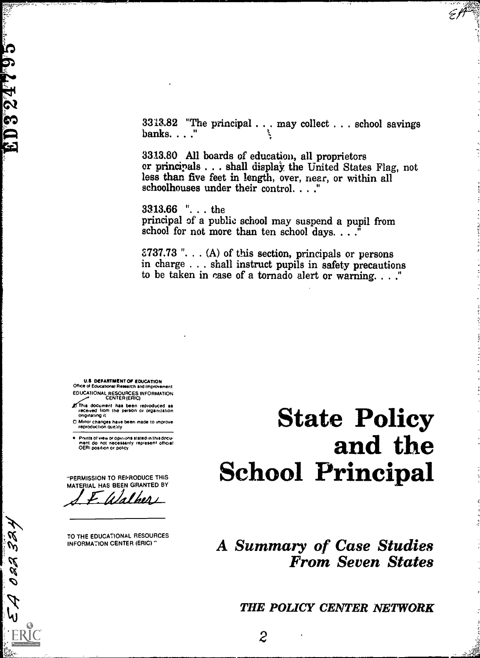**ED324795** 

022 324

 $\mathcal{P}$ hi  $3313.82$  "The principal . . . may collect . . . school savings banks. . . ."

3313.80 All boards of education, all proprietors er principals . . . shall display the United States Flag, not less than five feet in length, over, near, or within all schoolhouses under their control. . . ."

3313.66 ". . . the principal of a public school may suspend a pupil from school for not more than ten school days.  $\ldots$ 

S737.73 ". . . (A) of this section, principals or persons in charge . . . shall instruct pupils in safety precautions to be taken in case of a tornado alert or warning.  $\ldots$ ."

U.S DEPARTMENT Of EDUCATION Office cl Education& Rmearch and Improvement EDUCATIONAL RESOURCES INFORMATION

- document has been reproduced as received from the person or organization originating it.
- 0 Minor changes have been made to improve reproduction putt:ity

Points of wew or opinions stated in thisdocu-<br>ment: do: not: necessarify: represent: officiat<br>OERI position or policy

"PERMISSION TO REPRODUCE THIS MATERIAL HAS BEEN GRANTED BY

Walker

TO THE EDUCATIONAL RESOURCES INFORMATION CENTER (ERIC) "

# State Policy and the School Principal

# A Summary of Case Studies From Seven States

THE POLICY CENTER NETWORK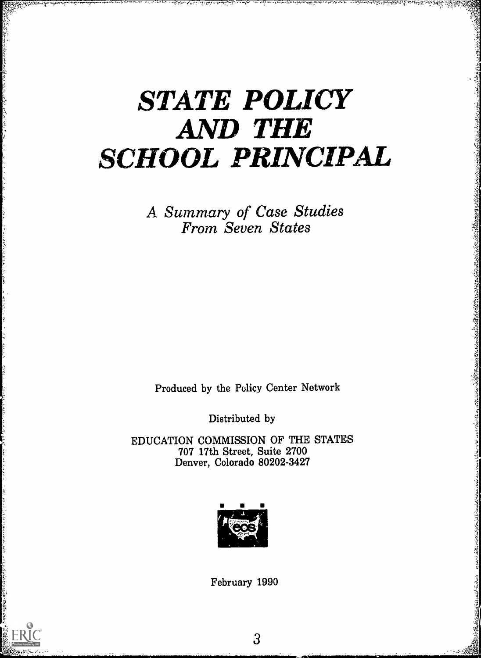# STATE POLICY AND THE SCHOOL PRINCIPAL

A. Summary of Case Studies From Seven States

Produced by the Policy Center Network

Distributed by

EDUCATION COMMISSION OF THE STATES 707 17th Street, Suite 2700 Denver, Colorado 80202-3427



February 1990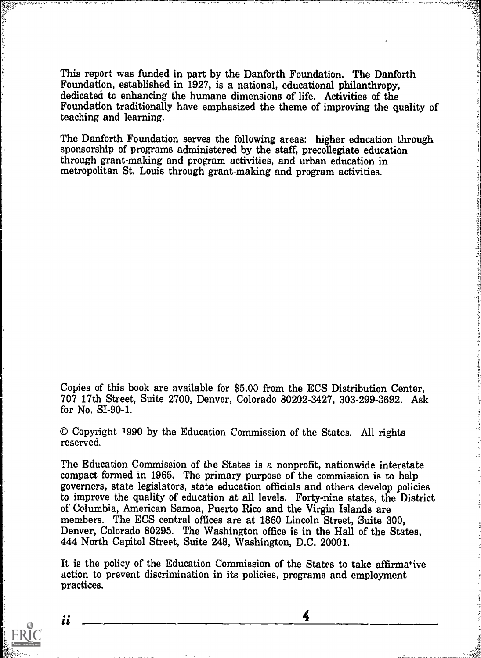This report was funded in part by the Danforth Foundation. The Danforth Foundation, established in 1927, is a national, educational philanthropy, dedicated to enhancing the humane dimensions of life. Activities of the Foundation traditionally have emphasized the theme of improving the quality of teaching and learning.

The Danforth Foundation serves the following areas: higher education through sponsorship of programs administered by the staff, precollegiate education through grant-making and program activities, and urban education in metropolitan St. Louis through grant-making and program activities.

Copies of this book are available for \$5.00 from the ECS Distribution Center, 707 17th Street, Suite 2700, Denver, Colorado 80202-3427, 303-299-3692. Ask for No. 5I-90-1.

© Copyright 1990 by the Education Commission of the States. All rights reserved,

The Education Commission of the States is a nonprofit, nationwide interstate compact formed in 1965. The primary purpose of the commission is to help governors, state legislators, state education officials and others develop policies to improve the quality of education at all levels. Forty-nine states, the District of Columbia, American Samoa, Puerto Rico and the Virgin Islands are members. The ECS central offices are at 1860 Lincoln Street, Suite 300, Denver, Colorado 80295. The Washington office is in the Hall of the States, 444 North Capitol Street, Suite 248, Washington, D.C. 20001.

It is the policy of the Education Commission of the States to take affirmative action to prevent discrimination in its policies, programs and employment practices.

 $\frac{2}{3}$ 



ii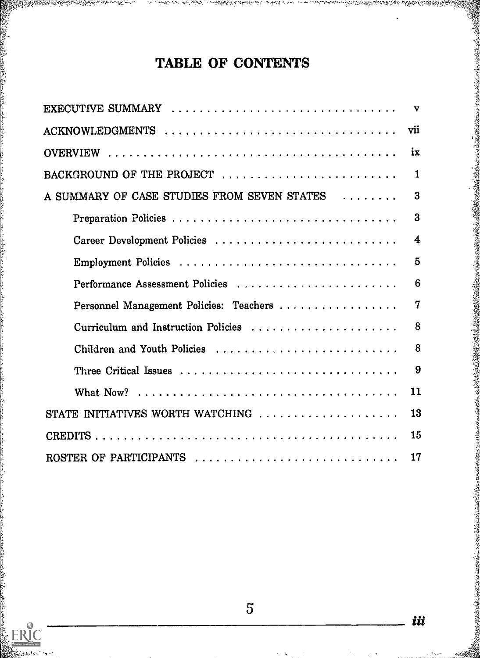# TABLE OF CONTENTS

|                                             | ix           |
|---------------------------------------------|--------------|
| BACKGROUND OF THE PROJECT                   | $\mathbf{1}$ |
| A SUMMARY OF CASE STUDIES FROM SEVEN STATES | $\bf{3}$     |
|                                             | 3            |
|                                             | 4            |
| Employment Policies                         | 5            |
| Performance Assessment Policies             | 6            |
| Personnel Management Policies: Teachers     | $\mathbf 7$  |
| Curriculum and Instruction Policies         | 8            |
| Children and Youth Policies                 | 8            |
|                                             | 9            |
|                                             | 11           |
| STATE INITIATIVES WORTH WATCHING            | 13           |
|                                             | 15           |
| ROSTER OF PARTICIPANTS                      | 17           |



iii

このことのあるところに、このことをはっているのです。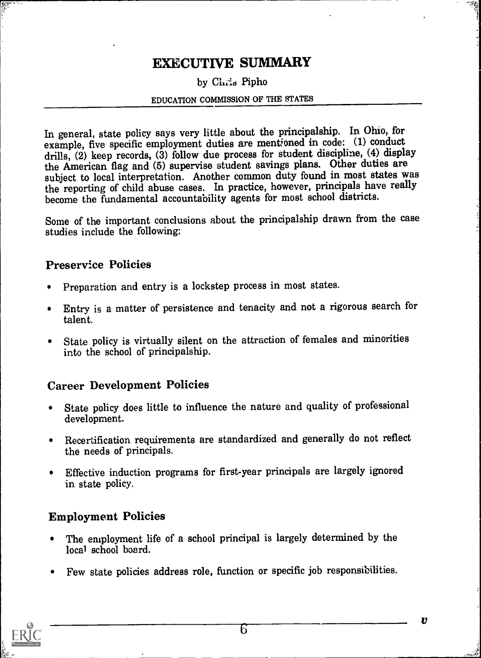# EXECUTIVE SUMMARY

### by Chris Pipho

### EDUCATION COMMISSION OF THE STATES

In general, state policy says very little about the principalship. In Ohio, for example, five specific employment duties are mentioned in code: (1) conduct drills, (2) keep records, (3) follow due process for student discipline, (4) display the American flag and (6) supervise student savings plans. Other duties are subject to local interpretation. Another common duty found in most states was the reporting of child abuse cases. In practice, however, principals have really become the fundamental accountability agents for most school districts.

Some of the important conclusions about the principalship drawn from the case studies include the following:

### Preservice Policies

- Preparation and entry is a lockstep process in most states.  $\bullet$
- Entry is a matter of persistence and tenacity and not a rigorous search for talent.
- State policy is virtually silent on the attraction of females and minorities into the school of principalship.

### Career Development Policies

- State policy does little to influence the nature and quality of professional  $\bullet$ development.
- Recertification requirements are standardized and generally do not reflect the needs of principals.
- Effective induction programs for first-year principals are largely ignored  $\bullet$ in state policy.

### Employment Policies

- The employment life of a school principal is largely determined by the local school board.
- Few state policies address role, function or specific job responsibilities.



 $\boldsymbol{v}$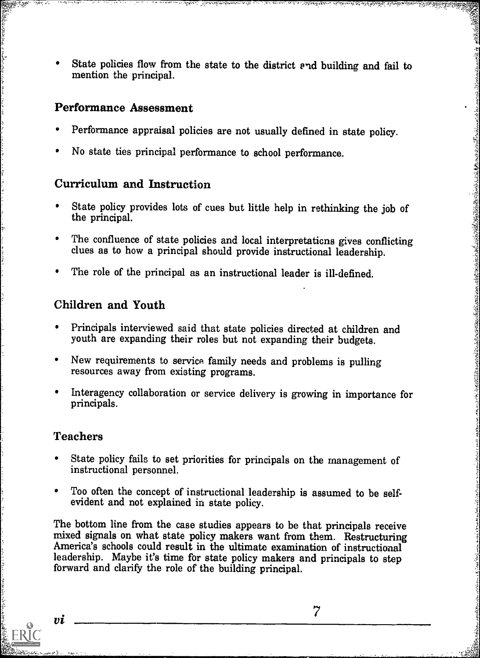State policies flow from the state to the district end building and fail to mention the principal.

### Performance Assessment

- Performance appraisal policies are not usually defined in state policy.
- No state ties principal performance to school performance.

### Curriculum and Instruction

- State policy provides lots of cues but little help in rethinking the job of the principal.
- The confluence of state policies and local interpretations gives conflicting clues as to how a principal should provide instructional leadership.
- The role of the principal as an instructional leader is ill-defined.

### Children and Youth

- Principals interviewed said that state policies directed at children and youth are expanding their roles but not expanding their budgets.
- $\bullet$ New requirements to service family needs and problems is pulling resources away from existing programs.
- Interagency collaboration or service delivery is growing in importance for principals.  $\bullet$

### Teachers

- State policy fails to set priorities for principals on the management of instructional personnel.
- Too often the concept of instructional leadership is assumed to be self- evident and not explained in state policy.

The bottom line from the case studies appears to be that principals receive mixed signals on what state policy makers want from them. Restructuring America's schools could result in the ultimate examination of instructional leadership. Maybe it's time for state policy makers and principals to step forward and clarify the role of the building principal.

пi

らいことでもあるから、そのことのことを、このことを、このことを、このことを、このことを、このことを、このことを、このことを、このことを、このことを、このことを、このことを、このことを、このことを、この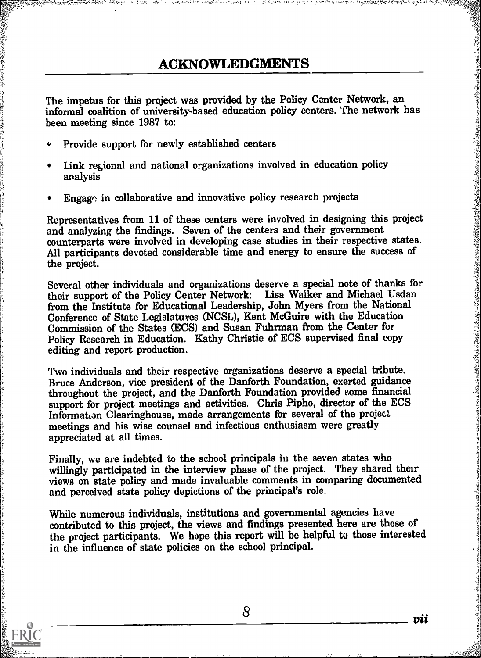## **ACKNOWLEDGMENTS**

The impetus for this project was provided by the Policy Center Network, an informal coalition of university-based education policy centers. The network has been meeting since 1987 to:

- Provide support for newly established centers  $\bullet$
- Link regional and national organizations involved in education policy analysis
- Engago in collaborative and innovative policy research projects

Representatives from 11 of these centers were involved in designing this project and analyzing the findings. Seven of the centers and their government counterparts were involved in developing case studies in their respective states. All participants devoted considerable time and energy to ensure the success of the project.

Several other individuals and organizations deserve a special note of thanks for their support of the Policy Center Network: Lisa Walker and Michael Usdan from the Institute for Educational Leadership, John Myers from the National Conference of State Legislatures (NCSL), Kent McGuire with the Education Commission of the States (ECS) and Susan Fuhrman from the Center for Policy Research in Education. Kathy Christie of ECS supervised final copy editing and report production.

Two individuals and their respective organizations deserve a special tribute. Bruce Anderson, vice president of the Danforth Foundation, exerted guidance throughout the project, and the Danforth Foundation provided some financial support for project meetings and activities. Chris Pipho, director of the ECS Information Clearinghouse, made arrangements for several of the project meetings and his wise counsel and infectious enthusiasm were greatly appreciated at all times.

Finally, we are indebted to the school principals in the seven states who willingly participated in the interview phase of the project. They shared their views on state policy and made invaluable comments in comparing documented and perceived state policy depictions of the principal's role.

While numerous individuals, institutions and governmental agencies have contributed to this project, the views and findings presented here are those of the project participants. We hope this report will be helpful to those interested in the influence of state policies on the school principal.



8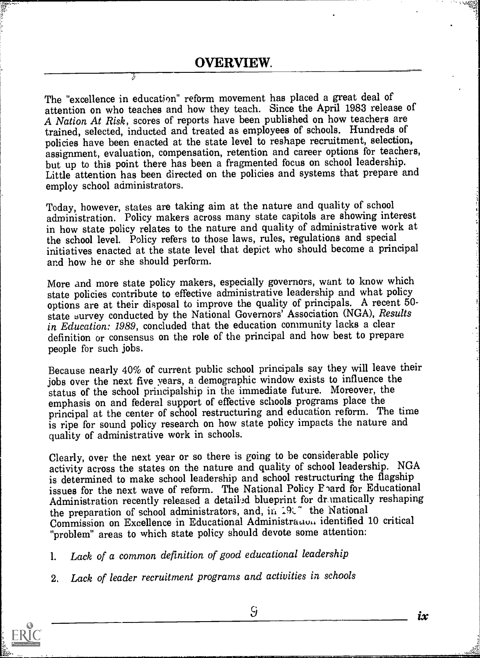7,

The "excellence in education" reform movement has placed a great deal of attention on who teaches and how they teach. Since the April 1983 release of A Nation At Risk, scores of reports have been published on how teachers are trained, selected, inducted and treated as employees of schools. Hundreds of policies have been enacted at the state level to reshape recruitment, selection, assignment, evaluation, compensation, retention and career options for teachers, but up to this point there has been a fragmented focus on school leadership. Little attention has been directed on the policies and systems that prepare and employ school administrators.

Today, however, states are taking aim at the nature and quality of school administration. Policy makers across many state capitols are showing interest in how state policy relates to the nature and quality of administrative work at the school level. Policy refers to those laws, rules, regulations and special initiatives enacted at the state level that depict who should become a principal and how he or she should perform.

More and more state policy makers, especially governors, want to know which state policies contribute to effective administrative leadership and what policy options are at their disposal to improve the quality of principals. A recent 50 state survey conducted by the National Governors' Association (NGA), Results in Education: 1989, concluded that the education community lacks a clear definition or consensus on the role of the principal and how best to prepare people for such jobs.

Because nearly 40% of current public school principals say they will leave their jobs over the next five years, a demographic window exists to influence the status of the school principalship in the immediate future. Moreover, the emphasis on and federal support of effective schools programs place the principal at the center of school restructuring and education reform. The time is ripe for sound policy research on how state policy impacts the nature and quality of administrative work in schools.

Clearly, over the next year or so there is going to be considerable policy activity across the states on the nature and quality of school leadership. NGA is determined to make school leadership and school restructuring the flagship issues for the next wave of reform. The National Policy F ard for Educational Administration recently released a detailed blueprint for dr matically reshaping the preparation of school administrators, and, in  $19L^{\circ}$  the National Commission on Excellence in Educational Administration identified 10 critical "problem" areas to which state policy should devote some attention:

1. Lack of a common definition of good educational leadership

2. Lack of leader recruitment programs and activities in schools



ix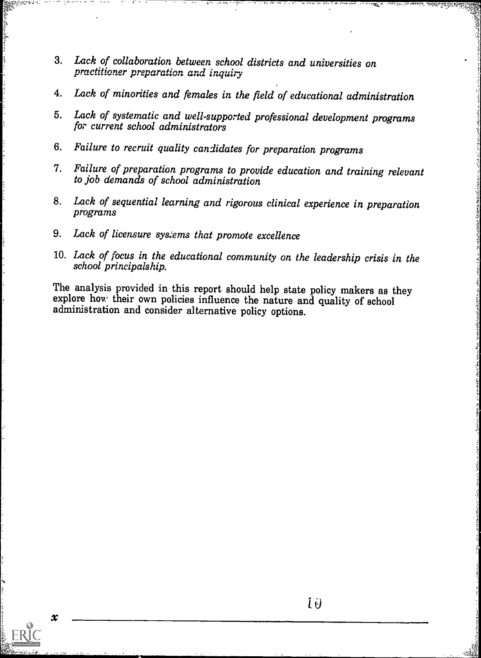- 3. Lack of collaboration between school districts and universities on practitioner preparation and inquiry
- 4. Lack of minorities and females in the field of educational administration

.

,-.. ,

- 5. Lack of systematic and well-supported professional development programs for current school administrators
- 6. Failure to recruit quality candidates for preparation programs
- 7. Failure of preparation programs to provide education and training relevant to job demands of school administration
- 8. Lack of sequential learning and rigorous clinical experience in preparation programs
- 9. Lack of licensure sys:ems that promote excellence
- 10. Lack of focus in the educational community on the leadership crisis in the school principalship.

The analysis provided in this report should help state policy makers as they explore how their own policies influence the nature and quality of school administration and consider alternative policy options.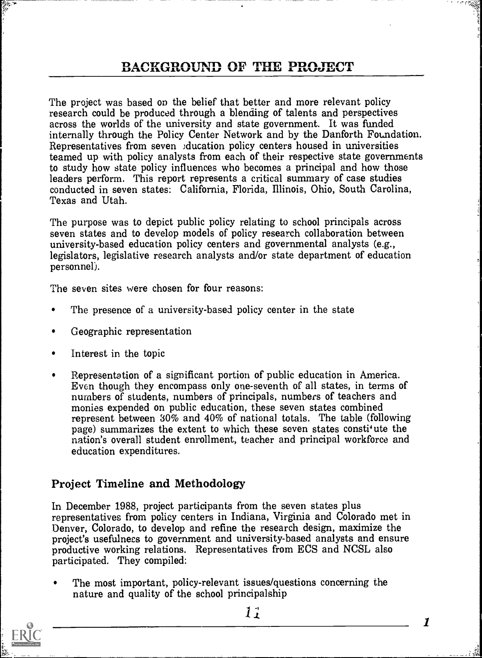# **BACKGROUND OF THE PROJECT**

The project was based on the belief that better and more relevant policy research could be produced through a blending of talents and perspectives across the worlds of the university and state government. It was funded internally through the Policy Center Network and by the Danforth Foundation. Representatives from seven )ducation policy centers housed in universities teamed up with policy analysts from each of their respective state governments to study how state policy influences who becomes a principal and how those leaders perform. This report represents a critical summary of case studies conducted in seven states: California, Florida, Illinois, Ohio, South Carolina, Texas and Utah.

The purpose was to depict public policy relating to school principals across seven states and to develop models of policy research collaboration between university-based education policy centers and governmental analysts (e.g., legislators, legislative research analysts and/or state department of education personnel).

The seven sites were chosen for four reasons:

- The presence of a university-based policy center in the state
- Geographic representation  $\bullet$
- Interest in the topic
- Representation of a significant portion of public education in America.  $\bullet$ Even though they encompass only one-seventh of all states, in terms of numbers of students, numbers of principals, numbers of teachers and monies expended on public education, these seven states combined represent between 30% and 40% of national totals. The table (following page) summarizes the extent to which these seven states constitute the nation's overall student enrollment, teacher and principal workforce and education expenditures.

### Project Timeline and Methodology

In December 1988, project participants from the seven states plus representatives from policy centers in Indiana, Virginia and Colorado met in Denver, Colorado, to develop and refine the research design, maximize the project's usefulness to government and university-based analysts and ensure productive working relations. Representatives from ECS and NCSL also participated. They compiled:

The most important, policy-relevant issues/questions concerning the nature and quality of the school principalship

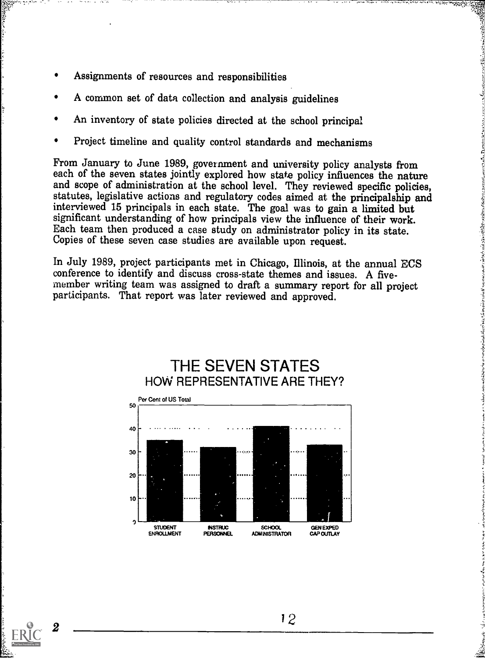- Assignments of resources and responsibilities
- A common set of data collection and analysis guidelines
- An inventory of state policies directed at the school principal
- Project timeline and quality control standards and mechanisms

From January to June 1989, government and university policy analysts from each of the seven states jointly explored how state policy influences the nature and scope of administration at the school level. They reviewed specific policies, statutes, legislative actions and regulatory codes aimed at the principalship and interviewed 15 principals in each state. The goal was to gain a limited but significant understanding of how principals view the influence of their work.<br>Each team then produced a case study on administrator policy in its state.<br>Copies of these seven case studies are available upon request.

1]

In July 1989, project participants met in Chicago, Illinois, at the annual ECS conference to identify and discuss cross-state themes and issues. A fivemember writing team was assigned to draft a summary report for all project participants. That report was later reviewed and approved.



2 — —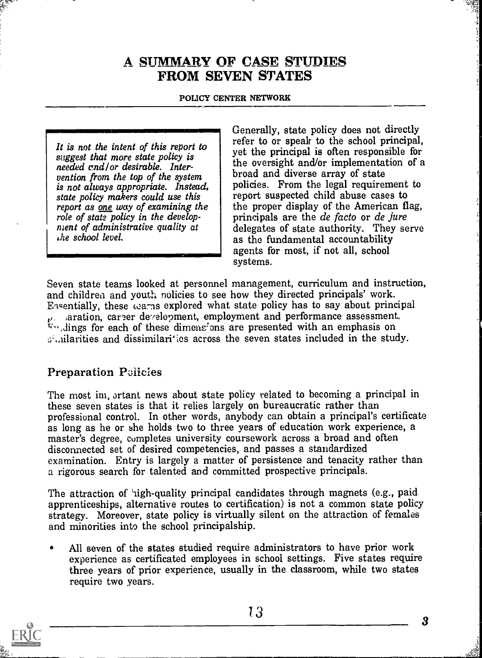## A SUMMARV OP CASE sruDiRs FROM SEVEN STATES

### POLICY CENTER NETWORK

It is not the intent of this report to suggest that more state policy is needed cnd/or desirable. Intervention from the top of the system broad and diverse array of state is not always appropriate. Instead, state policy makers could use this report as one way of examining the role of state policy in the development of administrative quality at die school level.

Generally, state policy does not directly refer to or speak to the school principal, yet the principal is often responsible for the oversight and/or implementation of a policies. From the legal requirement to report suspected child abuse cases to the proper display of the American flag, principals are the de facto or de jure delegates of state authority. They serve as the fundamental accountability agents for most, if not all, school systems.

Seven state teams looked at personnel management, curriculum and instruction, and children and youth nolicies to see how they directed principals' work. Essentially, these warns explored what state policy has to say about principal p. iaration, career development, employment and performance assessment.<br> $\overline{v}$ . dings for each of these dimeneons are presented with an emphasis on  $\mathfrak{g}$ , ilarities and dissimilarities across the seven states included in the study.

### Preparation Pelicies

The most im, ortant news about state policy related to becoming a principal in these seven states is that it relies largely on bureaucratic rather than professional control. In other words, anybody can obtain a principal's certificate as long as he or she holds two to three years of education work experience, a master's degree, completes university coursework across a broad and often disconnected set of desired competencies, and passes a standardized examination. Entry is largely a matter of persistence and tenacity rather than a rigorous search for talented and committed prospective principals.

The attraction of 'nigh-quality principal candidates through magnets (e.g., paid apprenticeships, alternative routes to certification) is not a common state policy strategy. Moreover, state policy is virtually silent on the attraction of females and minorities into the school principalship.

All seven of the states studied require administrators to have prior work experience as certificated employees in school settings. Five states require three years of prior experience, usually in the classroom, while two states require two years.



 $\boldsymbol{3}$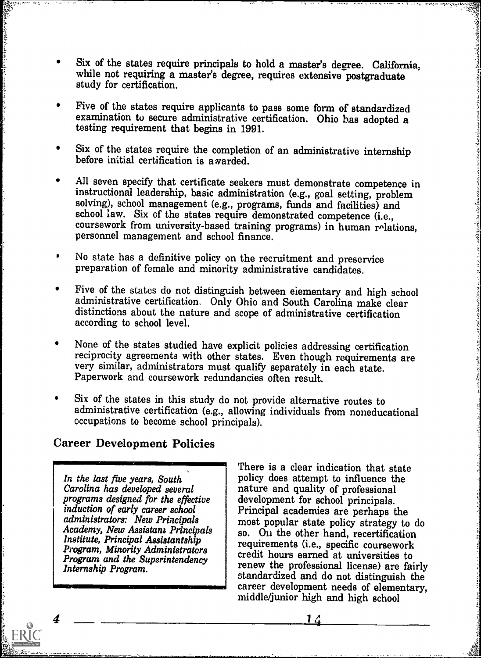- Six of the states require principals to hold a master's degree. California, while not requiring a master's degree, requires extensive postgraduate study for certification.
- Five of the states require applicants to pass some form of standardized examination to secure administrative certification. Ohio has adopted a testing requirement that begins in 1991.
- Six of the states require the completion of an administrative internship before initial certification is a warded.
- All seven specify that certificate seekers must demonstrate competence in instructional leadership, basic administration (e.g., goal setting, problem solving), school management (e.g., programs, funds and facilities) and school law. Six of the states require demonstrated competence (i.e., coursework from university-based training programs) in human relations, personnel management and school finance.
- No state has a definitive policy on the recruitment and preservice preparation of female and minority administrative candidates.
- Five of the states do not distinguish between eiementary and high school administrative certification. Only Ohio and South Carolina make clear distinctions about the nature and scope of administrative certification according to school level.
- None of the states studied have explicit policies addressing certification reciprocity agreements with other states. Even though requirements are very similar, administrators must qualify separately in each state. Paperwork and coursework redundancies often result.
- Six of the states in this study do not provide alternative routes to administrative certification (e.g., allowing individuals from noneducational occupations to become school principals).

### Career Development Policies

In the last five years, South Carolina has developed several programs designed for the effective induction of early career school administrators: New Principals Academy, New Assistant Principals Institute, Principal Assistantship Program, Minority Administrators Program and the Superintendency Internship Program.

 $\begin{array}{c|c}\n\hline\n\end{array}$  There is a clear indication that state IN1111111111=11111111=1 career development needs of elementary, policy does attempt to influence the nature and quality of professional development for school principals. Principal academies are perhaps the most popular state policy strategy to do so. On the other hand, recertification requirements (i.e., specific coursework credit hours earned at universities to renew the professional license) are fairly standardized and do not distinguish the middle/junior high and high school

 $\boldsymbol{\Lambda}$ 

(日) かんばん アンディースロック・シーン いっこう いっこう アール・ファーン

 $1\angle$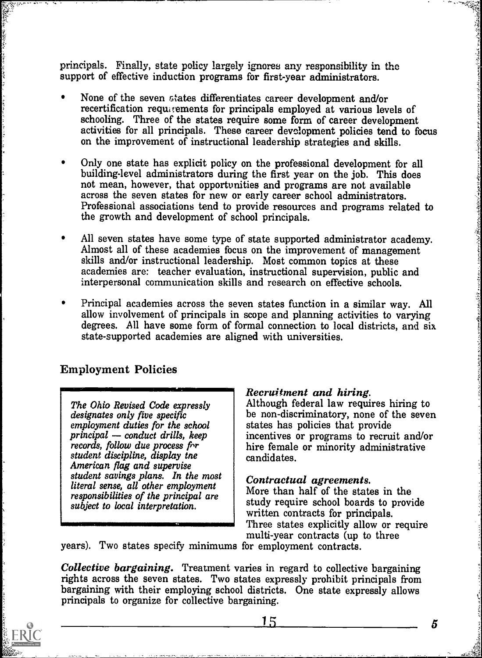principals. Finally, state policy largely ignores any responsibility in the support of effective induction programs for first-year administrators.

- None of the seven Gtates differentiates career development and/or recertification requarements for principals employed at various levels of schooling. Three of the states require some form of career development activities for all principals. These career development policies tend to focus on the improvement of instructional leadership strategies and skills.
- Only one state has explicit policy on the professional development for all building-level administrators during the first year on the job. This does not mean, however, that opportunities and programs are not available across the seven states for new or early career school administrators. Professional associations tend to provide resources and programs related to the growth and development of school principals.
- All seven states have some type of state supported administrator academy. Almost all of these academies focus on the improvement of management skills and/or instructional leadership. Most common topics at these academies are: teacher evaluation, instructional supervision, public and interpersonal communication skills and research on effective schools.
- Principal academies across the seven states function in a similar way. All allow involvement of principals in scope and planning activities to varying degrees. All have some form of formal connection to local districts, and six state-supported academies are aligned with universities.

### Employment Policies

IMM<u>erin Silan Ba</u>ri d<u>i Barance anno 1980 a Child China</u><br>I

The Ohio Revised Code expressly designates only five specific employment duties for the school  $principal$  — conduct drills, keep records, follow due process for student discipline, display the American flag and supervise student savings plans. In the most | Contractual agreements. literal sense, all other employment responsibilities of the principal are subject to local interpretation.

Recruitment and hiring.<br>Although federal law requires hiring to be non-discriminatory, none of the seven states has policies that provide incentives or programs to recruit and/or hire female or minority administrative candidates.

More than half of the states in the study require school boards to provide written contracts for principals. Three states explicitly allow or require multi-year contracts (up to three

years). Two states specify minimums for employment contracts.

Collective bargaining. Treatment varies in regard to collective bargaining rights across the seven states. Two states expressly prohibit principals from bargaining with their employing school districts. One state expressly allows principals to organize for collective bargaining.



- 「のというのですが、これがある。これにも、これにもいう

 $15$  5 5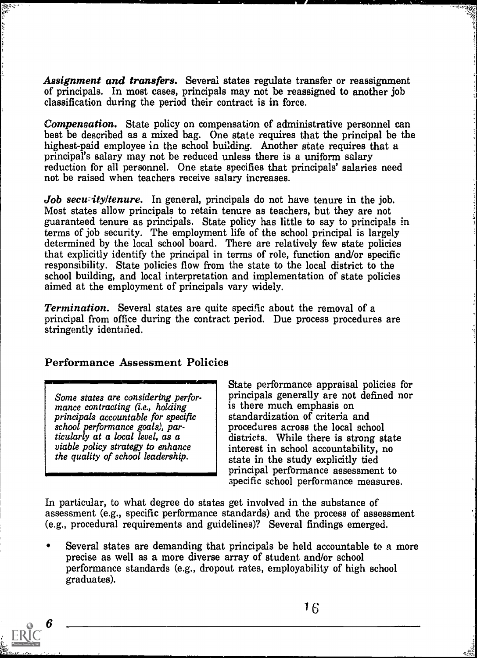Assignment and transfers. Several states regulate transfer or reassignment of principals. In most cases, principals may not be reassigned to another job classification during the period their contract is in force.

Compensation. State policy on compensation of administrative personnel can best be described as a mixed bag. One state requires that the principal be the highest-paid employee in the school building. Another state requires that a principal's salary may not be reduced unless there is a uniform salary reduction for all personnel. One state specifies that principals' salaries need not be raised when teachers receive salary increases.

Job secut ity/tenure. In general, principals do not have tenure in the job. Most states allow principals to retain tenure as teachers, but they are not guaranteed tenure as principals. State policy has little to say to principals in terms of job security. The employment life of the school principal is largely determined by the local school board. There are relatively few state policies that explicitly identify the principal in terms of role, function and/or specific responsibility. State policies flow from the state to the local district to the school building, and local interpretation and implementation of state policies aimed at the employment of principals vary widely.

Termination. Several states are quite specific about the removal of a principal from office during the contract period. Due process procedures are stringently identified.

### Performance Assessment Policies

Some states are considering performance contracting (i.e., holding principals accountable for specific school performance goals), particularly at a local level, as a viable policy strategy to enhance the quality of school leadership.

State performance appraisal policies for principals generally are not defined nor is there much emphasis on standardization of criteria and procedures across the local school districts. While there is strong state interest in school accountability, no state in the study explicitly tied principal performance assessment to 3pecific school performance measures.

In particular, to what degree do states get involved in the substance of assessment (e.g., specific performance standards) and the process of assessment (e.g., procedural requirements and guidelines)? Several findings emerged.

Several states are demanding that principals be held accountable to a more precise as well as a more diverse array of student and/or school performance standards (e.g., dropout rates, employability of high school graduates).

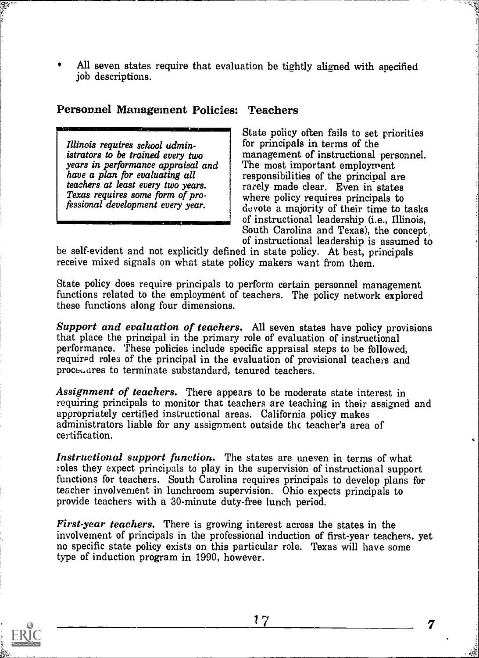All seven states require that evaluation be tightly aliened with specified job descriptions.

### Personnel Management Policies: Teachers

Illinois requires school administrators to be trained every two years in performance appraisal and have a plan for evaluating all teachers at least every two years. Texas requires some form of professional development every year.

State policy often fails to set priorities for principals in terms of the management of instructional personnel. The most important employment responsibilities of the principal are rarely made clear. Even in states where policy requires principals to devote a majority of their time to tasks of instructional leadership (i.e., Illinois, South Carolina and Texas), the concept, 4MIMMiMMI=INI

be self-evident and not explicitly defined in state policy. At best, principals receive mixed signals on what state policy makers want from them.

State policy does require principals to perform certain personnel management functions related to the employment of teachers. The policy network explored these fimctions along four dimensions.

Support and evaluation of teachers. All seven states have policy provisions that place the principal in the primary role of evaluation of instructional performance. These policies include specific appraisal steps to be followed, required roles of the principal in the evaluation of provisional teachers and proceuares to terminate substandard, tenured teachers.

Assignment of teachers. There appears to be moderate state interest in requiring principals to monitor that teachers are teaching in their assigned and appropriately certified instructional areas. California policy makes administrators liable for any assignment outside the teacher's area of certification.

Instructional support function. The states are uneven in terms of what roles they expect principals to play in the supervision of instructional support functions for teachers. South Carolina requires principals to develop plans for teacher involvement in lunchroom supervision. Ohio expects principals to provide teachers with a 30-minute duty-free lunch period.

First-year teachers. There is growing interest across the states in the involvement of principals in the professional induction of first-year teachers, yet no specific state policy exists on this particular role. Texas will have some type of induction program in 1990, however.

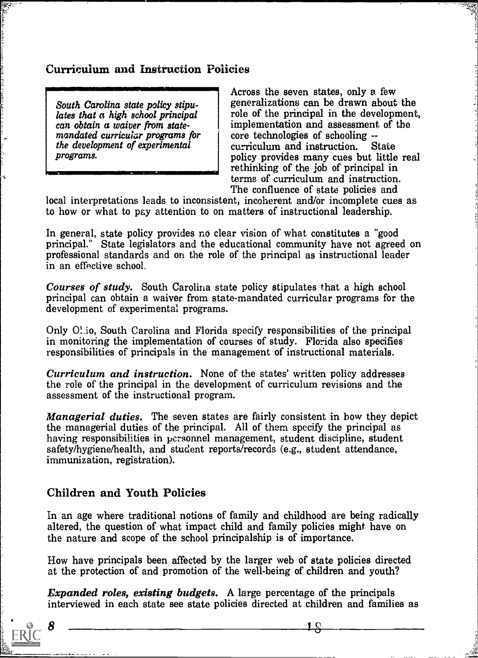### Curriculum and instruction Policies

South Carolina state policy stipulates that a high school principal can obtain a waiver from statemandated curricular programs for the development of experimental programs.

ina.<br>N

Across the seven states, only a few generalizations can be drawn about the role of the principal in the development, implementation and assessment of the core technologies of schooling --<br>curriculum and instruction. State curriculum and instruction. policy provides many cues but little real rethinking of the job of principal in terms of curriculum and instruction. The confluence of state policies and

local interpretations leads to inconsistent, incoherent and/or incomplete cues as to how or what to pay attention to on matters of instructional leadership.

In general, state policy provides no clear vision of what constitutes a "good principal." State legislators and the educational community have not agreed on professional standards and on the role of the principal as instructional leader in an effective school.

Courses of study. South Carolina state policy stipulates that a high school principal can obtain a waiver from state-mandated curricular programs for the development of experimental programs.

Only 01io, South Carolina and Florida specify responsibilities of the principal in monitoring the implementation of courses of study. Florida also specifies responsibilities of principals in the management of instructional materials.

Curriculum and instruction. None of the states' written policy addresses the role of the principal in the development of curriculum revisions and the assessment of the instructional program.

Managerial duties. The seven states are fairly consistent in how they depict the managerial duties of the principal. All of them specify the principal as having responsibilities in personnel management, student discipline, student safety/hygiene/health, and student reports/records (e.g., student attendance, immunization, registration).

### Children and Youth Policies

In an age where traditional notions of family and childhood are being radically altered, the question of what impact child and family policies might have on the nature and scope of the school principalship is of importance.

How have principals been affected by the larger web of state policies directed at the protection of and promotion of the well-being of children and youth?

Expanded roles, existing budgets. A large percentage of the principals interviewed in each state see state policies directed at children and families as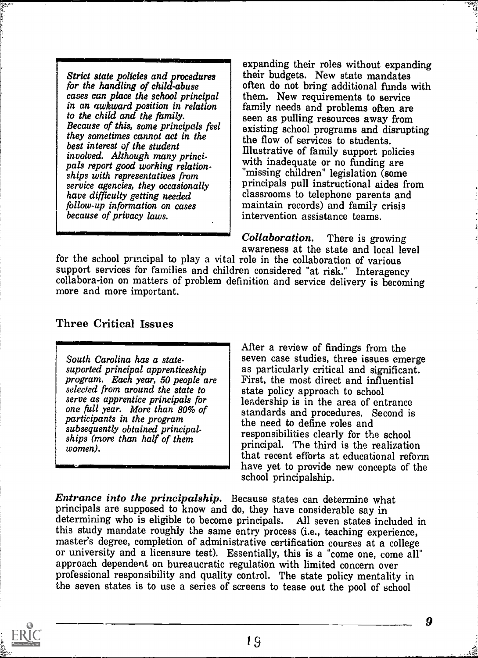for the handling of child-abuse cases can place the school principal in an awkward position in relation to the child and the family. Because of this, some principals feel they sometimes cannot act in the best interest of the student involved. Although many principals report good working relationships with representatives from service agencies, they occasionally have difficulty getting needed follow-up information on cases because of privacy laws.

Strict state policies and procedures  $\parallel$  their budgets. New state mandates expanding their roles without expanding often do not bring additional funds with them. New requirements to service family needs and problems often are seen as pulling resources away from existing school programs and disrupting the flow of services to students. Illustrative of family support policies with inadequate or no funding are "missing children" legislation (some principals pull instructional aides from classrooms to telephone parents and maintain records) and family crisis intervention assistance teams.

> Collaboration. There is growing awareness at the state and local level

for the school principal to play a vital role in the collaboration of various support services for families and children considered "at risk." Interagency collabora-ion on matters of problem definition and service delivery is becoming more and more important.

Three Critical Issues

South Carolina has a statesuported principal apprenticeship program. Each year, 50 people are selected from around the state to<br>serve as apprentice principals for one full year. More than 80% of participants in the program subsequently obtained principalwomen).

subsequently boldined principal-<br>ships (more than half of them subsequently for the school After a review of findings from the seven case studies, three issues emerge as particularly critical and significant. First, the most direct and influential state policy approach to school leadership is in the area of entrance standards and procedures. Second is the need to define roles and principal. The third is the realization that recent efforts at educational reform have yet to provide new concepts of the school principalship.

Entrance into the principalship. Because states can determine what principals are supposed to know and do, they have considerable say in determining who is eligible to become principals. All seven states included in this study mandate roughly the same entry process (i.e., teaching experience, master's degree, completion of administrative certification courses at a college or university and a licensure test). Essentially, this is a "come one, come all" approach dependent on bureaucratic regulation with limited concern over professional responsibility and quality control. The state policy mentality in the seven states is to use a series of screens to tease out the pool of school

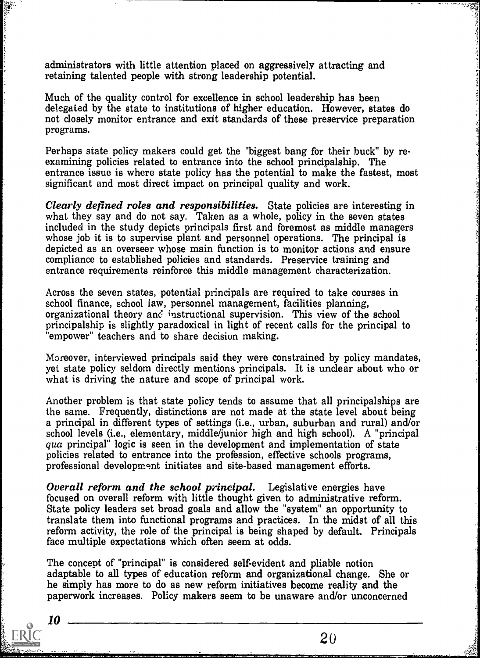administrators with little attention placed on aggressively attracting and retaining talented people with strong leadership potential.

Much of the quality control for excellence in school leadership has been delegated by the state to institutions of higher education. However, states do not closely monitor entrance and exit standards of these preservice preparation programs.

Perhaps state policy makers could get the "biggest bang for their buck" by reexamining policies related to entrance into the school principalship. The entrance issue is where state policy has the potential to make the fastest, most significant and most direct impact on principal quality and work.

Clearly defined roles and responsibilities. State policies are interesting in what they say and do not say. Taken as a whole, policy in the seven states included in the study depicts principals first and foremost as middle managers whose job it is to supervise plant and personnel operations. The principal is depicted as an overseer whose main function is to monitor actions and ensure compliance to established policies and standards. Preservice training and entrance requirements reinforce this middle management characterization.

Across the seven states, potential principals are required to take courses in school finance, school iaw, personnel management, facilities planning, organizational theory and instructional supervision. This view of the school principalship is slightly paradoxical in light of recent calls for the principal to "empower" teachers and to share decision making.

Moreover, interviewed principals said they were constrained by policy mandates, yet state policy seldom directly mentions principals. It is unclear about who or what is driving the nature and scope of principal work.

Another problem is that state policy tends to assume that all principalships are the same. Frequently, distinctions are not made at the state level about being a principal in different types of settings (i.e., urban, suburban and rural) and/or school levels (i.e., elementary, middle/junior high and high school). A "principal qua principal" logic is seen in the development and implementation of state policies related to entrance into the profession, effective schools programs, professional development initiates and site-based management efforts.

Overall reform and the school principal. Legislative energies have focused on overall reform with little thought given to administrative reform. State policy leaders set broad goals and allow the "system" an opportunity to translate them into functional programs and practices. In the midst of all this reform activity, the role of the principal is being shaped by default. Principals face multiple expectations which often seem at odds.

The concept of "principal" is considered self-evident and pliable notion adaptable to all types of education reform and organizational change. She or he simply has more to do as new reform initiatives become reality and the paperwork increases. Policy makers seem to be unaware and/or unconcerned

10

经济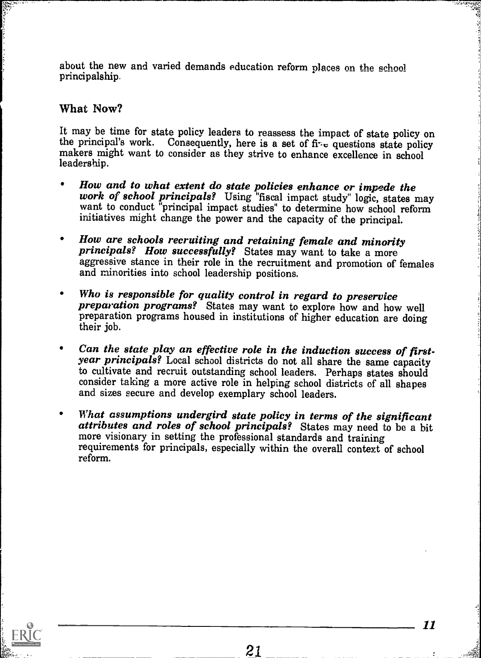about the new and varied demands education reform places on the achool principalship.

### What Now?

It may be time for state policy leaders to reassess the impact of state policy on the principal's work. Consequently, here is a set of  $f\ddot{r}$  questions state policy makers might want to consider as they strive to enhance excellence in school leadership.

- How and to what extent do state policies enhance or impede the work of school principals? Using "fiscal impact study" logic, states may want to conduct "principal impact studies" to determine how school reform initiatives might change the power and the capacity of the principal.
- How are schools recruiting and retaining female and minority principals? How successfully? States may want to take a more aggressive stance in their role in the recruitment and promotion of females and minorities into school leadership positions.
- Who is responsible for quality control in regard to preservice<br>preparation programs? States may want to explore how and how well preparation programs housed in institutions of higher education are doing their job.
- Can the state play an effective role in the induction success of first- $\bullet$ year principals? Local school districts do not all share the same capacity to cultivate and recruit outstanding school leaders. Perhaps states should consider taking a more active role in helping school districts of all shapes and sizes secure and develop exemplary school leaders.
- What assumptions undergird state policy in terms of the significant attributes and roles of school principals? States may need to be a bit more visionary in setting the professional standards and training  $\bullet$ requirements for principals, especially within the overall context of school reform.

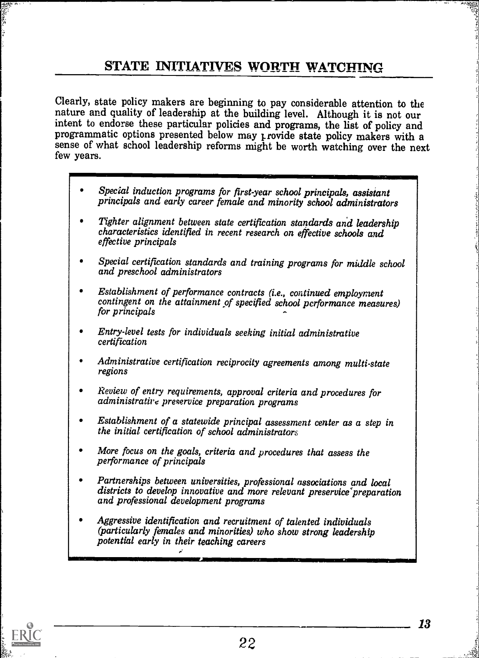# STATE INITIATIVES WORTH WATCHING

Clearly, state policy makers are beginning to pay considerable attention to the nature and quality of leadership at the building level. Although it is not our intent to endorse these particular policies and programs, the list of policy and programmatic options presented below may provide state policy makers with a sense of what school leadership reforms might be worth watching over the next few years.

- Special induction programs for first-year school principals, assistant principals and early career female and minority school administrators
- Tighter alignment between state certification standards and leadership characteristics identified in recent research on effective schools and effective principals
- Special certification standards and training programs for middle school and preschool administrators
- Establishment of performance contracts (i.e., continued employment contingent on the attainment of specified school performance measures) for principals
- Entry-level tests for individuals seeking initial administrative certification
- Administrative certification reciprocity agreements among multi-state regions
- Review of entry requirements, approval criteria and procedures for administrative preservice preparation programs
- Establishment of a statewide principal assessment center as a step in the initial certification of school administrators
- More focus on the goals, criteria and procedures that assess the performance of principals
- Partnerships between universities, professional associations and local districts to develop innovative and more relevant preservice'preparation and professional development programs
- Aggressive identification and recruitment of talented individuals (particularly females and minorities) who show strong kadership potential early in their teaching careers

-,



,.

22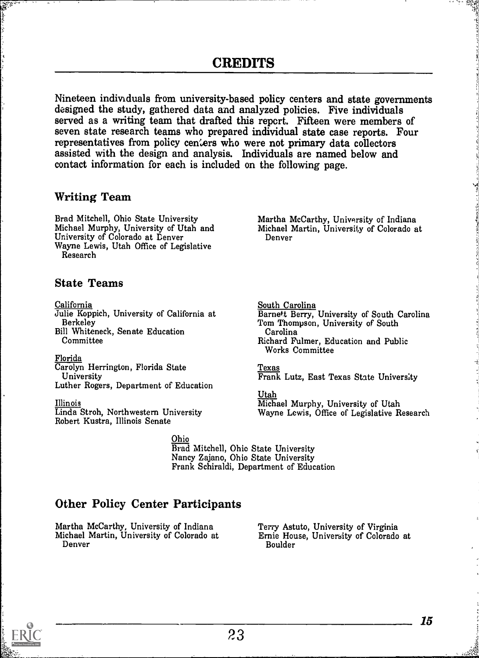Nineteen individuals from university-based policy centers and state governments designed the study, gathered data and analyzed policies. Five individuals served as a writing team that drafted this repert. Fifteen were members of seven state research teams who prepared individual state case reports. Four representatives from policy centers who were not primary data collectors assisted with the design and analysis. Individuals are named below and contact information for each is included on the following page.

### Writing Team

Brad Mitchell, Ohio State University Martha McCarthy, University of Indiana<br>Michael Murphy, University of Utah and Michael Martin, University of Colorado at<br>University of Colorado at Denver Denver Wayne Lewis, Utah Office of Legislative Research

### State Teams

California Julie Koppich, University of California at Berkeley Bill Whiteneck, Senate Education Committee

Florida Carolyn Herrington, Florida State University Luther Rogers, Department of Education

Illinois Linda Stroh, Northwestern University Robert Kustra, Illinois Senate

### South Carolina Barnett Berry, University of South Carolina Tom Thompson, University of South Carolina Richard Fulmer, Education and Public Works Committee

### Texas

Frank Lutz, East Texas State University

### Utah Michael Murphy, University of Utah Wayne Lewis, Office of Legislative Research

Ohio Brad Mitchell, Ohio State University Nancy Zajano, Ohio State University Frank Schiraldi, Department of Education

### Other Policy Center Participants

Martha McCarthy, University of Indiana Michael Martin, University of Colorado at Denver

Terry Astuto, University of Virginia Ernie House, University of Colorado at Boulder

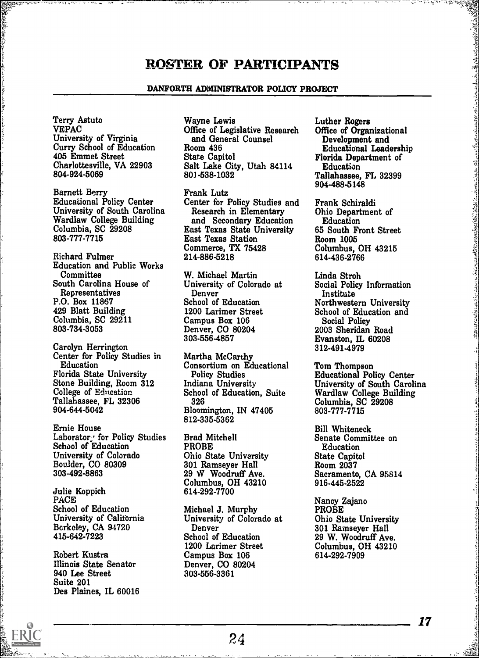### ROSTER OF PARTICIPANTS

### DANFORTH ADMINISTRATOR POLICY PROJECT

Terry Astuto VEPAC University of Virginia Curry School of Education 405 Emmet Street Charlottesville, VA 22903 804-924-5069

Barnett Berry Educational Policy Center University of South Carolina Wardlaw College Building Columbia, SC 29208 803-777-7715

Richard Fulmer Education and Public Works **Committee** South Carolina House of **Representatives** P.O. Box 11867 429 Blatt Building Columbia, SC 29211 803-734-3053

Carolyn Herrington Center for Policy Studies in Education Florida State University Stone Building, Room 312 College of Education Tallahassee, FL 32306 904-644-5042

Ernie House Laborator . for Policy Studies School of Education University of Colorado Boulder, CO 80309 303-492-8863

Julie Koppich PACE School of Education University of California Berkeley, CA 94720 415-642-7223

Robert Kustra Illinois State Senator 940 Lee Street Suite 201 Des Plaines, IL 60016 Wayne Lewis Office of Legislative Research and General Counsel Room 436 State Capitol Salt Lake City, Utah 84114 80J -538-1032

Frank Lutz Center for Policy Studies and Research in Elementary and Secondary Education East Texas State University East Texas Station Commerce, TX 75428 214-886-5218

W. Michael Martin University of Colorado at Denver School of Education 1200 Larimer Street Campus Box 106 Denver, CO 80204 303-556-4857

Martha McCarthy Consortium on Educational Policy Studies Indiana University School of Education, Suite 326 Bloomington, IN 47405 812-335-5362

Brad Mitchell PROBE Ohio State University 301 Ramseyer Hall 29 W Woodruff Ave. Columbus, OH 43210 614-292-7700

Michael J. Murphy University of Colorado at Denver School of Education 1200 Lorimer Street Campus Box 106 Denver, CO 80204 303-556-3361

Luther Rogers Office of Organizational Development and Educational Leadership Florida Department of Education Tallahassee, FL 32399 904-488-5148

Frank Schiraldi Ohio Department of Education 65 South Front Street Room 1005 Columbus, OH 43215 614-436-2766

ARTHUR AND THE STATE OF THE CONTRACTORS OF THE CONTRACTORS

Linda Stroh Social Policy Information Institute Northwestern University School of Education and Social Policy 2003 Sheridan Road Evanston, IL 60208 312-491-4979

Tom Thompson Educational Policy Center University of South Carolina Wardlaw College Building Columbia, SC 29208 803-777-7715

Bill Whiteneck Senate Committee on Education State Capitol Room 2037 Sacramento, CA 95814 916-445-2522

Nancy Zajano PROBE Ohio State University 301 Ramseyer Hall 29 W. Woodruff Ave. Columbus, OH 43210 614-292-7909